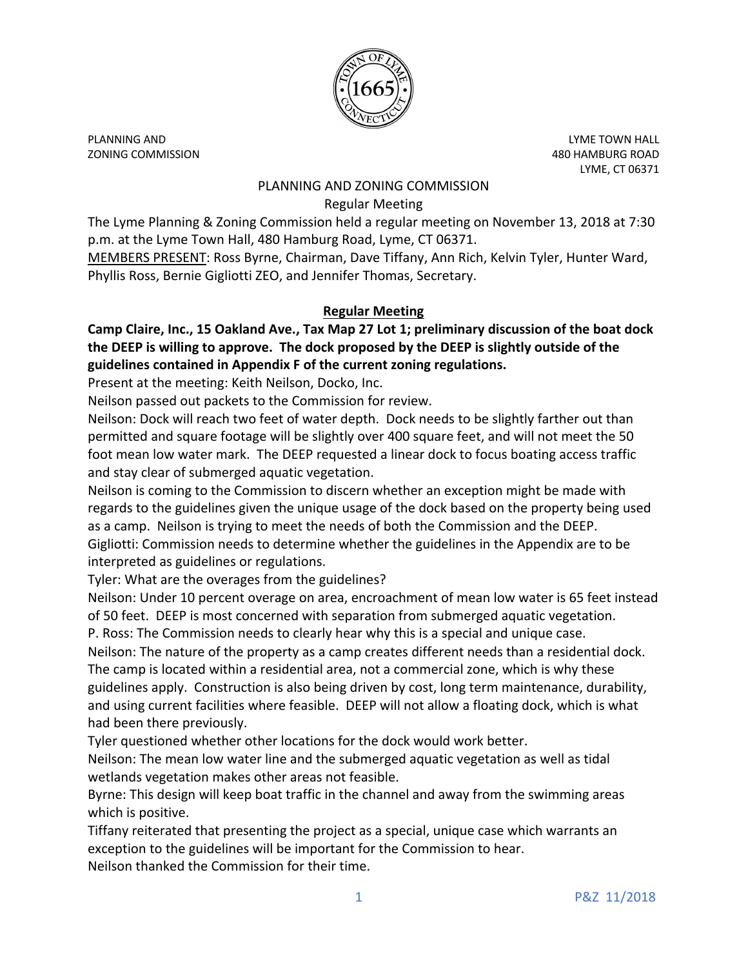

ZONING COMMISSION 480 HAMBURG ROAD

PLANNING AND LYME TOWN HALL LYME, CT 06371

# PLANNING AND ZONING COMMISSION

Regular Meeting

The Lyme Planning & Zoning Commission held a regular meeting on November 13, 2018 at 7:30 p.m. at the Lyme Town Hall, 480 Hamburg Road, Lyme, CT 06371.

MEMBERS PRESENT: Ross Byrne, Chairman, Dave Tiffany, Ann Rich, Kelvin Tyler, Hunter Ward, Phyllis Ross, Bernie Gigliotti ZEO, and Jennifer Thomas, Secretary.

# **Regular Meeting**

**Camp Claire, Inc., 15 Oakland Ave., Tax Map 27 Lot 1; preliminary discussion of the boat dock the DEEP is willing to approve. The dock proposed by the DEEP is slightly outside of the guidelines contained in Appendix F of the current zoning regulations.**

Present at the meeting: Keith Neilson, Docko, Inc.

Neilson passed out packets to the Commission for review.

Neilson: Dock will reach two feet of water depth. Dock needs to be slightly farther out than permitted and square footage will be slightly over 400 square feet, and will not meet the 50 foot mean low water mark. The DEEP requested a linear dock to focus boating access traffic and stay clear of submerged aquatic vegetation.

Neilson is coming to the Commission to discern whether an exception might be made with regards to the guidelines given the unique usage of the dock based on the property being used as a camp. Neilson is trying to meet the needs of both the Commission and the DEEP. Gigliotti: Commission needs to determine whether the guidelines in the Appendix are to be interpreted as guidelines or regulations.

Tyler: What are the overages from the guidelines?

Neilson: Under 10 percent overage on area, encroachment of mean low water is 65 feet instead of 50 feet. DEEP is most concerned with separation from submerged aquatic vegetation.

P. Ross: The Commission needs to clearly hear why this is a special and unique case.

Neilson: The nature of the property as a camp creates different needs than a residential dock. The camp is located within a residential area, not a commercial zone, which is why these guidelines apply. Construction is also being driven by cost, long term maintenance, durability, and using current facilities where feasible. DEEP will not allow a floating dock, which is what had been there previously.

Tyler questioned whether other locations for the dock would work better.

Neilson: The mean low water line and the submerged aquatic vegetation as well as tidal wetlands vegetation makes other areas not feasible.

Byrne: This design will keep boat traffic in the channel and away from the swimming areas which is positive.

Tiffany reiterated that presenting the project as a special, unique case which warrants an exception to the guidelines will be important for the Commission to hear. Neilson thanked the Commission for their time.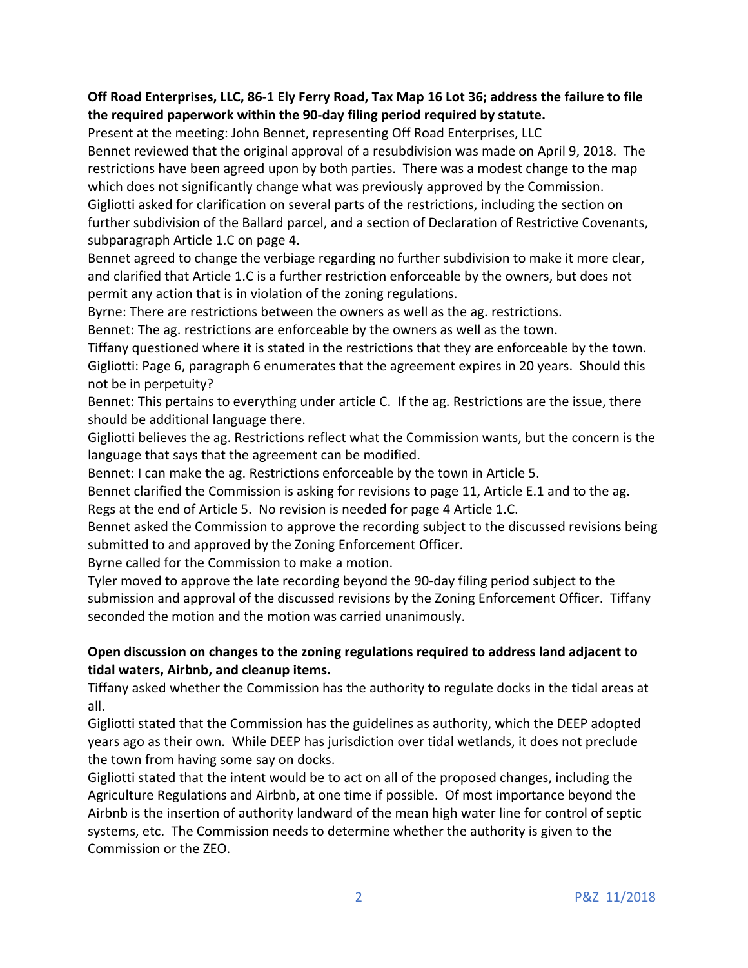## **Off Road Enterprises, LLC, 86-1 Ely Ferry Road, Tax Map 16 Lot 36; address the failure to file the required paperwork within the 90-day filing period required by statute.**

Present at the meeting: John Bennet, representing Off Road Enterprises, LLC

Bennet reviewed that the original approval of a resubdivision was made on April 9, 2018. The restrictions have been agreed upon by both parties. There was a modest change to the map which does not significantly change what was previously approved by the Commission. Gigliotti asked for clarification on several parts of the restrictions, including the section on further subdivision of the Ballard parcel, and a section of Declaration of Restrictive Covenants, subparagraph Article 1.C on page 4.

Bennet agreed to change the verbiage regarding no further subdivision to make it more clear, and clarified that Article 1.C is a further restriction enforceable by the owners, but does not permit any action that is in violation of the zoning regulations.

Byrne: There are restrictions between the owners as well as the ag. restrictions.

Bennet: The ag. restrictions are enforceable by the owners as well as the town.

Tiffany questioned where it is stated in the restrictions that they are enforceable by the town. Gigliotti: Page 6, paragraph 6 enumerates that the agreement expires in 20 years. Should this not be in perpetuity?

Bennet: This pertains to everything under article C. If the ag. Restrictions are the issue, there should be additional language there.

Gigliotti believes the ag. Restrictions reflect what the Commission wants, but the concern is the language that says that the agreement can be modified.

Bennet: I can make the ag. Restrictions enforceable by the town in Article 5.

Bennet clarified the Commission is asking for revisions to page 11, Article E.1 and to the ag. Regs at the end of Article 5. No revision is needed for page 4 Article 1.C.

Bennet asked the Commission to approve the recording subject to the discussed revisions being submitted to and approved by the Zoning Enforcement Officer.

Byrne called for the Commission to make a motion.

Tyler moved to approve the late recording beyond the 90-day filing period subject to the submission and approval of the discussed revisions by the Zoning Enforcement Officer. Tiffany seconded the motion and the motion was carried unanimously.

# **Open discussion on changes to the zoning regulations required to address land adjacent to tidal waters, Airbnb, and cleanup items.**

Tiffany asked whether the Commission has the authority to regulate docks in the tidal areas at all.

Gigliotti stated that the Commission has the guidelines as authority, which the DEEP adopted years ago as their own. While DEEP has jurisdiction over tidal wetlands, it does not preclude the town from having some say on docks.

Gigliotti stated that the intent would be to act on all of the proposed changes, including the Agriculture Regulations and Airbnb, at one time if possible. Of most importance beyond the Airbnb is the insertion of authority landward of the mean high water line for control of septic systems, etc. The Commission needs to determine whether the authority is given to the Commission or the ZEO.